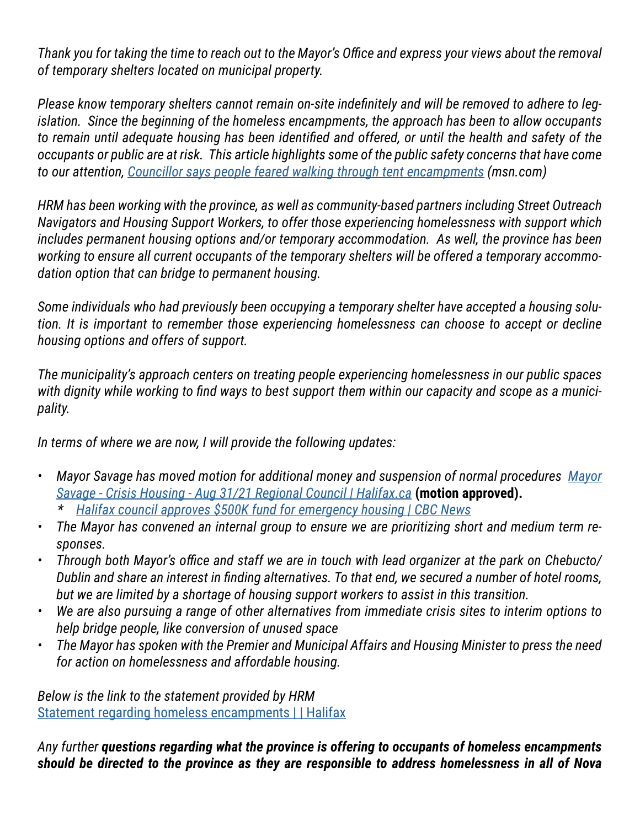*Thank you for taking the time to reach out to the Mayor's Office and express your views about the removal of temporary shelters located on municipal property.*

*Please know temporary shelters cannot remain on-site indefinitely and will be removed to adhere to legislation. Since the beginning of the homeless encampments, the approach has been to allow occupants to remain until adequate housing has been identified and offered, or until the health and safety of the occupants or public are at risk. This article highlights some of the public safety concerns that have come to our attention, [Councillor says people feared walking through tent encampments](https://www.msn.com/en-ca/news/canada/councillor-says-people-feared-walking-through-tent-encampments/ar-AANx8Fs) (msn.com)*

*HRM has been working with the province, as well as community-based partners including Street Outreach Navigators and Housing Support Workers, to offer those experiencing homelessness with support which includes permanent housing options and/or temporary accommodation. As well, the province has been working to ensure all current occupants of the temporary shelters will be offered a temporary accommodation option that can bridge to permanent housing.*

*Some individuals who had previously been occupying a temporary shelter have accepted a housing solution. It is important to remember those experiencing homelessness can choose to accept or decline housing options and offers of support.* 

*The municipality's approach centers on treating people experiencing homelessness in our public spaces with dignity while working to find ways to best support them within our capacity and scope as a municipality.*

*In terms of where we are now, I will provide the following updates:*

- **•** [Mayor](https://www.halifax.ca/sites/default/files/documents/city-hall/regional-council/210831rc141.pdf) Savage has moved motion for additional money and suspension of normal procedures *Mayor [Savage - Crisis Housing - Aug 31/21 Regional Council | Halifax.ca](https://www.halifax.ca/sites/default/files/documents/city-hall/regional-council/210831rc141.pdf)* **(motion approved).** *\* [Halifax council approves \\$500K fund for emergency housing | CBC News](https://www.cbc.ca/news/canada/nova-scotia/halifax-council-metting-homelessness-fund-1.6160202)*
- *• The Mayor has convened an internal group to ensure we are prioritizing short and medium term responses.*
- *• Through both Mayor's office and staff we are in touch with lead organizer at the park on Chebucto/ Dublin and share an interest in finding alternatives. To that end, we secured a number of hotel rooms, but we are limited by a shortage of housing support workers to assist in this transition.*
- *• We are also pursuing a range of other alternatives from immediate crisis sites to interim options to help bridge people, like conversion of unused space*
- *• The Mayor has spoken with the Premier and Municipal Affairs and Housing Minister to press the need for action on homelessness and affordable housing.*

*Below is the link to the statement provided by HRM* [Statement regarding homeless encampments | | Halifax](https://www.halifax.ca/home/news/statement-regarding-homeless-encampments-municipal-property)

*Any further questions regarding what the province is offering to occupants of homeless encampments should be directed to the province as they are responsible to address homelessness in all of Nova*